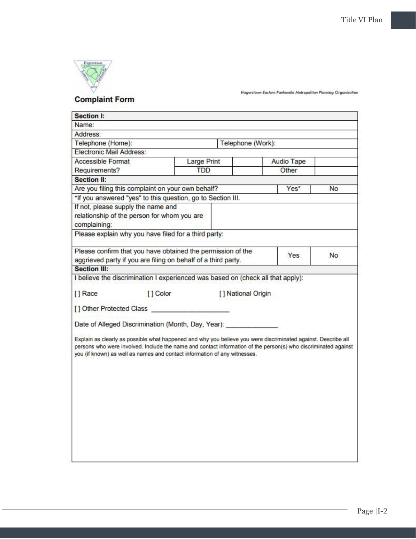

Hagerstown-Eastern Panhandle Metropolitan Planning Organization

| <b>Section I:</b>                                                                                                            |                                                                                                                                                                                                                                                                                                              |                    |                   |       |                   |                |
|------------------------------------------------------------------------------------------------------------------------------|--------------------------------------------------------------------------------------------------------------------------------------------------------------------------------------------------------------------------------------------------------------------------------------------------------------|--------------------|-------------------|-------|-------------------|----------------|
| Name:                                                                                                                        |                                                                                                                                                                                                                                                                                                              |                    |                   |       |                   |                |
| Address:                                                                                                                     |                                                                                                                                                                                                                                                                                                              |                    |                   |       |                   |                |
| Telephone (Home):                                                                                                            |                                                                                                                                                                                                                                                                                                              |                    | Telephone (Work): |       |                   |                |
| <b>Electronic Mail Address:</b>                                                                                              |                                                                                                                                                                                                                                                                                                              |                    |                   |       |                   |                |
| <b>Accessible Format</b>                                                                                                     |                                                                                                                                                                                                                                                                                                              | <b>Large Print</b> |                   |       | <b>Audio Tape</b> |                |
| Requirements?                                                                                                                |                                                                                                                                                                                                                                                                                                              | <b>TDD</b>         |                   | Other |                   |                |
| <b>Section II:</b>                                                                                                           |                                                                                                                                                                                                                                                                                                              |                    |                   |       |                   |                |
| Are you filing this complaint on your own behalf?                                                                            |                                                                                                                                                                                                                                                                                                              |                    |                   |       | Yes*              | N <sub>o</sub> |
|                                                                                                                              | *If you answered "yes" to this question, go to Section III.                                                                                                                                                                                                                                                  |                    |                   |       |                   |                |
| complaining:                                                                                                                 | If not, please supply the name and<br>relationship of the person for whom you are<br>Please explain why you have filed for a third party:                                                                                                                                                                    |                    |                   |       |                   |                |
| Please confirm that you have obtained the permission of the<br>aggrieved party if you are filing on behalf of a third party. |                                                                                                                                                                                                                                                                                                              |                    |                   |       | Yes.              | <b>No</b>      |
| <b>Section III:</b>                                                                                                          |                                                                                                                                                                                                                                                                                                              |                    |                   |       |                   |                |
| [] Other Protected Class                                                                                                     | Date of Alleged Discrimination (Month, Day, Year):                                                                                                                                                                                                                                                           |                    |                   |       |                   |                |
|                                                                                                                              | Explain as clearly as possible what happened and why you believe you were discriminated against. Describe all<br>persons who were involved. Include the name and contact information of the person(s) who discriminated against<br>you (if known) as well as names and contact information of any witnesses. |                    |                   |       |                   |                |
|                                                                                                                              |                                                                                                                                                                                                                                                                                                              |                    |                   |       |                   |                |